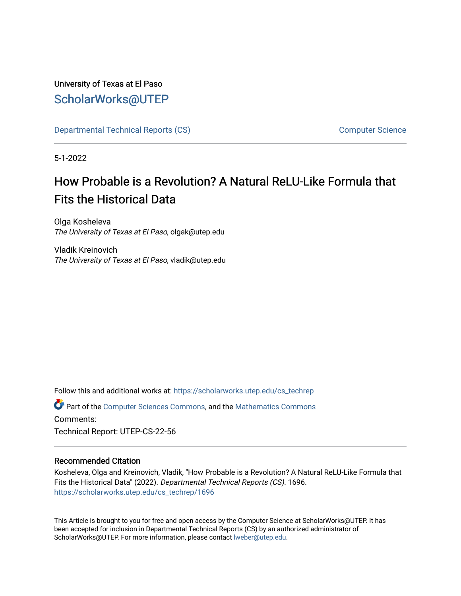# University of Texas at El Paso [ScholarWorks@UTEP](https://scholarworks.utep.edu/)

[Departmental Technical Reports \(CS\)](https://scholarworks.utep.edu/cs_techrep) [Computer Science](https://scholarworks.utep.edu/computer) 

5-1-2022

# How Probable is a Revolution? A Natural ReLU-Like Formula that Fits the Historical Data

Olga Kosheleva The University of Texas at El Paso, olgak@utep.edu

Vladik Kreinovich The University of Texas at El Paso, vladik@utep.edu

Follow this and additional works at: [https://scholarworks.utep.edu/cs\\_techrep](https://scholarworks.utep.edu/cs_techrep?utm_source=scholarworks.utep.edu%2Fcs_techrep%2F1696&utm_medium=PDF&utm_campaign=PDFCoverPages) 

Part of the [Computer Sciences Commons](https://network.bepress.com/hgg/discipline/142?utm_source=scholarworks.utep.edu%2Fcs_techrep%2F1696&utm_medium=PDF&utm_campaign=PDFCoverPages), and the [Mathematics Commons](https://network.bepress.com/hgg/discipline/174?utm_source=scholarworks.utep.edu%2Fcs_techrep%2F1696&utm_medium=PDF&utm_campaign=PDFCoverPages)  Comments:

Technical Report: UTEP-CS-22-56

## Recommended Citation

Kosheleva, Olga and Kreinovich, Vladik, "How Probable is a Revolution? A Natural ReLU-Like Formula that Fits the Historical Data" (2022). Departmental Technical Reports (CS). 1696. [https://scholarworks.utep.edu/cs\\_techrep/1696](https://scholarworks.utep.edu/cs_techrep/1696?utm_source=scholarworks.utep.edu%2Fcs_techrep%2F1696&utm_medium=PDF&utm_campaign=PDFCoverPages) 

This Article is brought to you for free and open access by the Computer Science at ScholarWorks@UTEP. It has been accepted for inclusion in Departmental Technical Reports (CS) by an authorized administrator of ScholarWorks@UTEP. For more information, please contact [lweber@utep.edu](mailto:lweber@utep.edu).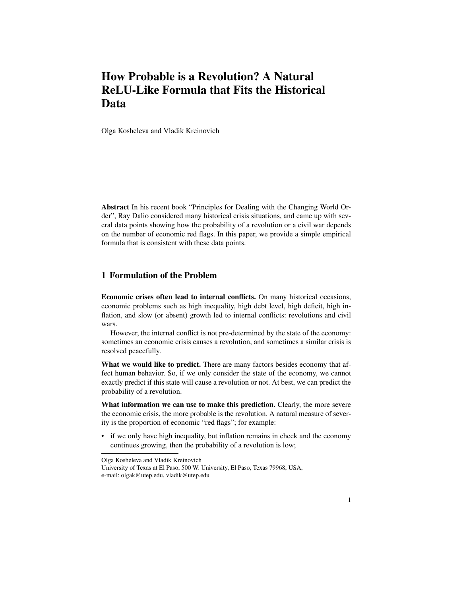## How Probable is a Revolution? A Natural ReLU-Like Formula that Fits the Historical Data

Olga Kosheleva and Vladik Kreinovich

Abstract In his recent book "Principles for Dealing with the Changing World Order", Ray Dalio considered many historical crisis situations, and came up with several data points showing how the probability of a revolution or a civil war depends on the number of economic red flags. In this paper, we provide a simple empirical formula that is consistent with these data points.

### 1 Formulation of the Problem

Economic crises often lead to internal conflicts. On many historical occasions, economic problems such as high inequality, high debt level, high deficit, high inflation, and slow (or absent) growth led to internal conflicts: revolutions and civil wars.

However, the internal conflict is not pre-determined by the state of the economy: sometimes an economic crisis causes a revolution, and sometimes a similar crisis is resolved peacefully.

What we would like to predict. There are many factors besides economy that affect human behavior. So, if we only consider the state of the economy, we cannot exactly predict if this state will cause a revolution or not. At best, we can predict the probability of a revolution.

What information we can use to make this prediction. Clearly, the more severe the economic crisis, the more probable is the revolution. A natural measure of severity is the proportion of economic "red flags"; for example:

• if we only have high inequality, but inflation remains in check and the economy continues growing, then the probability of a revolution is low;

Olga Kosheleva and Vladik Kreinovich

University of Texas at El Paso, 500 W. University, El Paso, Texas 79968, USA, e-mail: olgak@utep.edu, vladik@utep.edu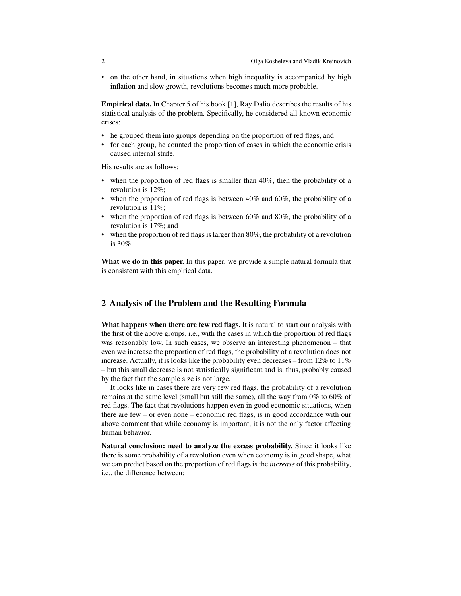• on the other hand, in situations when high inequality is accompanied by high inflation and slow growth, revolutions becomes much more probable.

Empirical data. In Chapter 5 of his book [1], Ray Dalio describes the results of his statistical analysis of the problem. Specifically, he considered all known economic crises:

- he grouped them into groups depending on the proportion of red flags, and
- for each group, he counted the proportion of cases in which the economic crisis caused internal strife.

His results are as follows:

- when the proportion of red flags is smaller than 40%, then the probability of a revolution is 12%;
- when the proportion of red flags is between  $40\%$  and  $60\%$ , the probability of a revolution is 11%;
- when the proportion of red flags is between  $60\%$  and  $80\%$ , the probability of a revolution is 17%; and
- when the proportion of red flags is larger than 80%, the probability of a revolution is 30%.

What we do in this paper. In this paper, we provide a simple natural formula that is consistent with this empirical data.

#### 2 Analysis of the Problem and the Resulting Formula

What happens when there are few red flags. It is natural to start our analysis with the first of the above groups, i.e., with the cases in which the proportion of red flags was reasonably low. In such cases, we observe an interesting phenomenon – that even we increase the proportion of red flags, the probability of a revolution does not increase. Actually, it is looks like the probability even decreases – from 12% to 11% – but this small decrease is not statistically significant and is, thus, probably caused by the fact that the sample size is not large.

It looks like in cases there are very few red flags, the probability of a revolution remains at the same level (small but still the same), all the way from 0% to 60% of red flags. The fact that revolutions happen even in good economic situations, when there are few – or even none – economic red flags, is in good accordance with our above comment that while economy is important, it is not the only factor affecting human behavior.

Natural conclusion: need to analyze the excess probability. Since it looks like there is some probability of a revolution even when economy is in good shape, what we can predict based on the proportion of red flags is the *increase* of this probability, i.e., the difference between: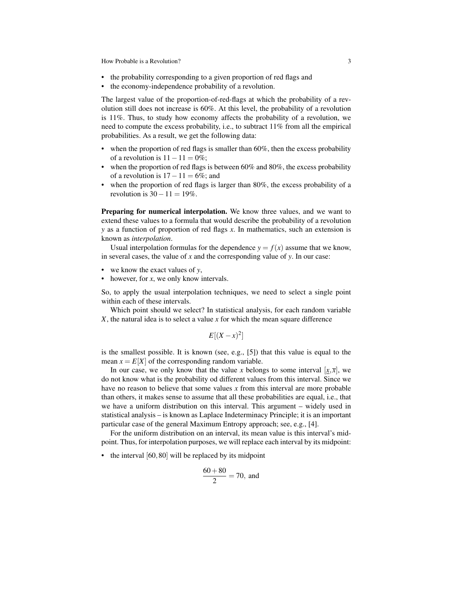How Probable is a Revolution? 3

- the probability corresponding to a given proportion of red flags and
- the economy-independence probability of a revolution.

The largest value of the proportion-of-red-flags at which the probability of a revolution still does not increase is 60%. At this level, the probability of a revolution is 11%. Thus, to study how economy affects the probability of a revolution, we need to compute the excess probability, i.e., to subtract 11% from all the empirical probabilities. As a result, we get the following data:

- when the proportion of red flags is smaller than  $60\%$ , then the excess probability of a revolution is  $11 - 11 = 0\%$ ;
- when the proportion of red flags is between 60% and 80%, the excess probability of a revolution is  $17-11=6\%$ ; and
- when the proportion of red flags is larger than 80%, the excess probability of a revolution is  $30-11=19\%$ .

Preparing for numerical interpolation. We know three values, and we want to extend these values to a formula that would describe the probability of a revolution *y* as a function of proportion of red flags *x*. In mathematics, such an extension is known as *interpolation*.

Usual interpolation formulas for the dependence  $y = f(x)$  assume that we know, in several cases, the value of *x* and the corresponding value of *y*. In our case:

- we know the exact values of *y*,
- however, for *x*, we only know intervals.

So, to apply the usual interpolation techniques, we need to select a single point within each of these intervals.

Which point should we select? In statistical analysis, for each random variable *X*, the natural idea is to select a value *x* for which the mean square difference

$$
E[(X-x)^2]
$$

is the smallest possible. It is known (see, e.g., [5]) that this value is equal to the mean  $x = E[X]$  of the corresponding random variable.

In our case, we only know that the value *x* belongs to some interval  $[x, \overline{x}]$ , we do not know what is the probability od different values from this interval. Since we have no reason to believe that some values *x* from this interval are more probable than others, it makes sense to assume that all these probabilities are equal, i.e., that we have a uniform distribution on this interval. This argument – widely used in statistical analysis – is known as Laplace Indeterminacy Principle; it is an important particular case of the general Maximum Entropy approach; see, e.g., [4].

For the uniform distribution on an interval, its mean value is this interval's midpoint. Thus, for interpolation purposes, we will replace each interval by its midpoint:

• the interval [60,80] will be replaced by its midpoint

$$
\frac{60+80}{2} = 70, \text{ and}
$$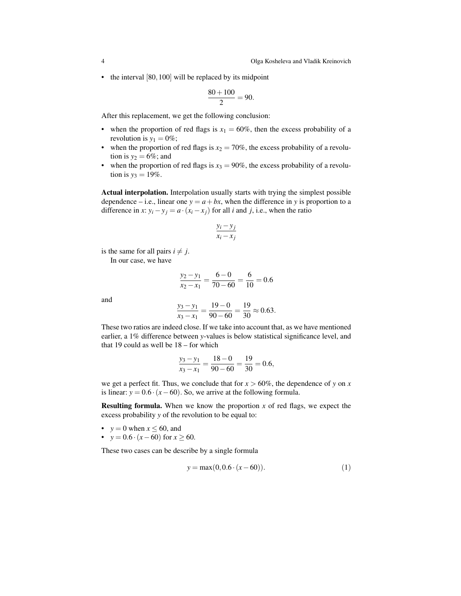• the interval [80, 100] will be replaced by its midpoint

$$
\frac{80+100}{2} = 90.
$$

After this replacement, we get the following conclusion:

- when the proportion of red flags is  $x_1 = 60\%$ , then the excess probability of a revolution is  $y_1 = 0\%$ ;
- when the proportion of red flags is  $x_2 = 70\%$ , the excess probability of a revolution is  $y_2 = 6\%$ ; and
- when the proportion of red flags is  $x_3 = 90\%$ , the excess probability of a revolution is  $y_3 = 19\%$ .

Actual interpolation. Interpolation usually starts with trying the simplest possible dependence – i.e., linear one  $y = a + bx$ , when the difference in *y* is proportion to a difference in *x*:  $y_i - y_j = a \cdot (x_i - x_j)$  for all *i* and *j*, i.e., when the ratio

$$
\frac{y_i - y_j}{x_i - x_j}
$$

is the same for all pairs  $i \neq j$ .

In our case, we have

$$
\frac{y_2 - y_1}{x_2 - x_1} = \frac{6 - 0}{70 - 60} = \frac{6}{10} = 0.6
$$

and

$$
\frac{y_3 - y_1}{x_3 - x_1} = \frac{19 - 0}{90 - 60} = \frac{19}{30} \approx 0.63.
$$

These two ratios are indeed close. If we take into account that, as we have mentioned earlier, a 1% difference between *y*-values is below statistical significance level, and that 19 could as well be 18 – for which

$$
\frac{y_3 - y_1}{x_3 - x_1} = \frac{18 - 0}{90 - 60} = \frac{19}{30} = 0.6,
$$

we get a perfect fit. Thus, we conclude that for  $x > 60\%$ , the dependence of *y* on *x* is linear:  $y = 0.6 \cdot (x - 60)$ . So, we arrive at the following formula.

**Resulting formula.** When we know the proportion  $x$  of red flags, we expect the excess probability *y* of the revolution to be equal to:

- $y = 0$  when  $x \le 60$ , and
- $y = 0.6 \cdot (x 60)$  for  $x \ge 60$ .

These two cases can be describe by a single formula

$$
y = \max(0, 0.6 \cdot (x - 60)).
$$
 (1)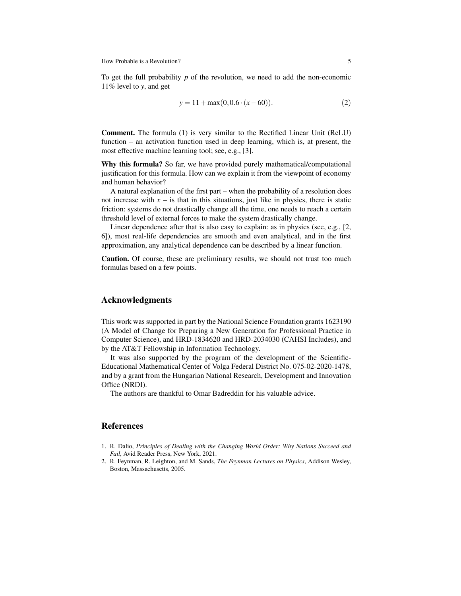How Probable is a Revolution? 5

To get the full probability *p* of the revolution, we need to add the non-economic 11% level to *y*, and get

$$
y = 11 + \max(0, 0.6 \cdot (x - 60)). \tag{2}
$$

Comment. The formula (1) is very similar to the Rectified Linear Unit (ReLU) function – an activation function used in deep learning, which is, at present, the most effective machine learning tool; see, e.g., [3].

Why this formula? So far, we have provided purely mathematical/computational justification for this formula. How can we explain it from the viewpoint of economy and human behavior?

A natural explanation of the first part – when the probability of a resolution does not increase with  $x -$  is that in this situations, just like in physics, there is static friction: systems do not drastically change all the time, one needs to reach a certain threshold level of external forces to make the system drastically change.

Linear dependence after that is also easy to explain: as in physics (see, e.g., [2, 6]), most real-life dependencies are smooth and even analytical, and in the first approximation, any analytical dependence can be described by a linear function.

Caution. Of course, these are preliminary results, we should not trust too much formulas based on a few points.

#### Acknowledgments

This work was supported in part by the National Science Foundation grants 1623190 (A Model of Change for Preparing a New Generation for Professional Practice in Computer Science), and HRD-1834620 and HRD-2034030 (CAHSI Includes), and by the AT&T Fellowship in Information Technology.

It was also supported by the program of the development of the Scientific-Educational Mathematical Center of Volga Federal District No. 075-02-2020-1478, and by a grant from the Hungarian National Research, Development and Innovation Office (NRDI).

The authors are thankful to Omar Badreddin for his valuable advice.

#### References

- 1. R. Dalio, *Principles of Dealing with the Changing World Order: Why Nations Succeed and Fail*, Avid Reader Press, New York, 2021.
- 2. R. Feynman, R. Leighton, and M. Sands, *The Feynman Lectures on Physics*, Addison Wesley, Boston, Massachusetts, 2005.